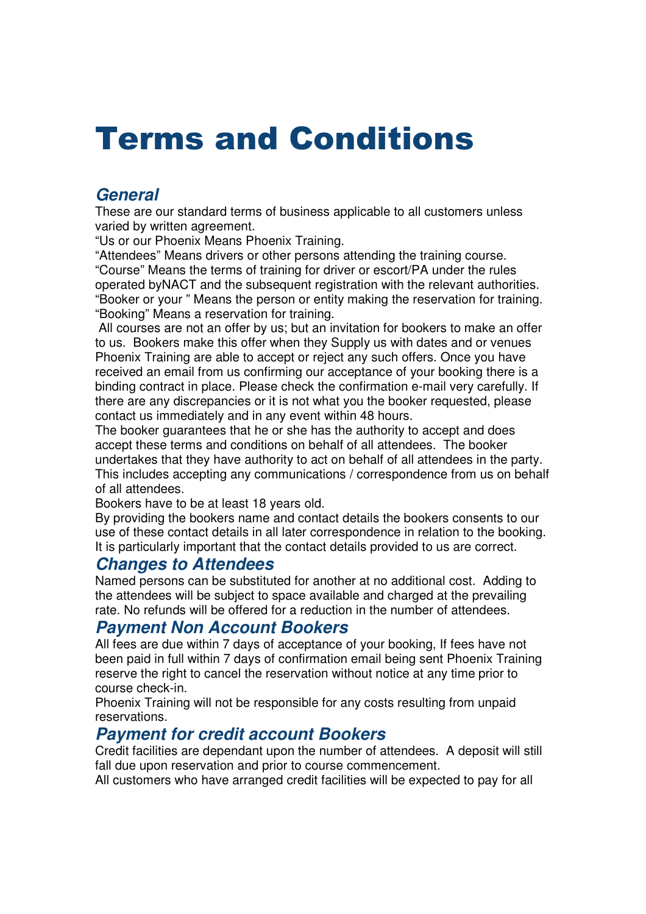# Terms and Conditions

# **General**

These are our standard terms of business applicable to all customers unless varied by written agreement.

"Us or our Phoenix Means Phoenix Training.

"Attendees" Means drivers or other persons attending the training course. "Course" Means the terms of training for driver or escort/PA under the rules operated byNACT and the subsequent registration with the relevant authorities. "Booker or your " Means the person or entity making the reservation for training. "Booking" Means a reservation for training.

 All courses are not an offer by us; but an invitation for bookers to make an offer to us. Bookers make this offer when they Supply us with dates and or venues Phoenix Training are able to accept or reject any such offers. Once you have received an email from us confirming our acceptance of your booking there is a binding contract in place. Please check the confirmation e-mail very carefully. If there are any discrepancies or it is not what you the booker requested, please contact us immediately and in any event within 48 hours.

The booker guarantees that he or she has the authority to accept and does accept these terms and conditions on behalf of all attendees. The booker undertakes that they have authority to act on behalf of all attendees in the party. This includes accepting any communications / correspondence from us on behalf of all attendees.

Bookers have to be at least 18 years old.

By providing the bookers name and contact details the bookers consents to our use of these contact details in all later correspondence in relation to the booking. It is particularly important that the contact details provided to us are correct.

## **Changes to Attendees**

Named persons can be substituted for another at no additional cost. Adding to the attendees will be subject to space available and charged at the prevailing rate. No refunds will be offered for a reduction in the number of attendees.

## **Payment Non Account Bookers**

All fees are due within 7 days of acceptance of your booking, If fees have not been paid in full within 7 days of confirmation email being sent Phoenix Training reserve the right to cancel the reservation without notice at any time prior to course check-in.

Phoenix Training will not be responsible for any costs resulting from unpaid reservations.

# **Payment for credit account Bookers**

Credit facilities are dependant upon the number of attendees. A deposit will still fall due upon reservation and prior to course commencement.

All customers who have arranged credit facilities will be expected to pay for all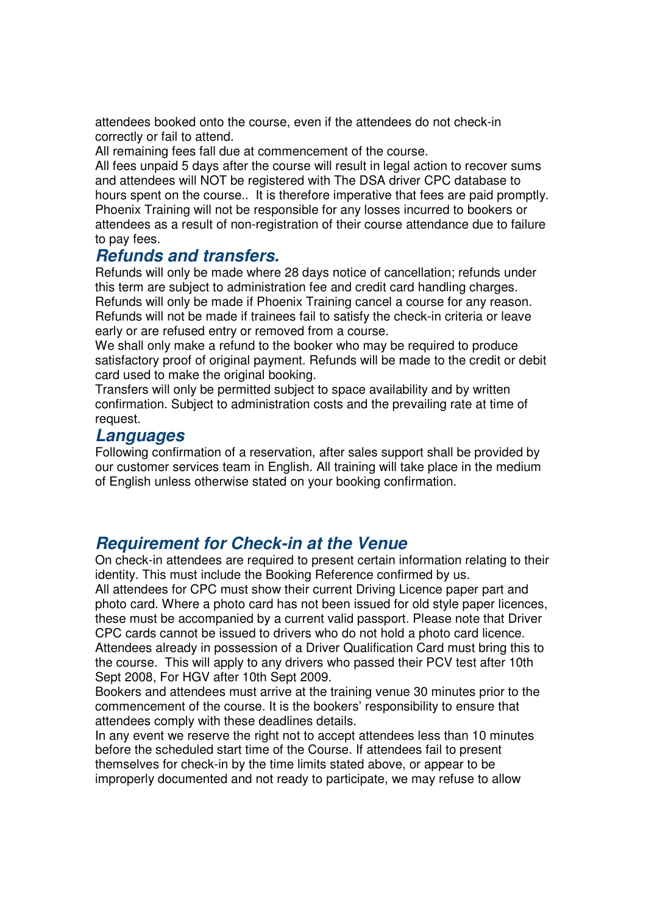attendees booked onto the course, even if the attendees do not check-in correctly or fail to attend.

All remaining fees fall due at commencement of the course.

All fees unpaid 5 days after the course will result in legal action to recover sums and attendees will NOT be registered with The DSA driver CPC database to hours spent on the course.. It is therefore imperative that fees are paid promptly. Phoenix Training will not be responsible for any losses incurred to bookers or attendees as a result of non-registration of their course attendance due to failure to pay fees.

### **Refunds and transfers.**

Refunds will only be made where 28 days notice of cancellation; refunds under this term are subject to administration fee and credit card handling charges. Refunds will only be made if Phoenix Training cancel a course for any reason. Refunds will not be made if trainees fail to satisfy the check-in criteria or leave early or are refused entry or removed from a course.

We shall only make a refund to the booker who may be required to produce satisfactory proof of original payment. Refunds will be made to the credit or debit card used to make the original booking.

Transfers will only be permitted subject to space availability and by written confirmation. Subject to administration costs and the prevailing rate at time of request.

#### **Languages**

Following confirmation of a reservation, after sales support shall be provided by our customer services team in English. All training will take place in the medium of English unless otherwise stated on your booking confirmation.

## **Requirement for Check-in at the Venue**

On check-in attendees are required to present certain information relating to their identity. This must include the Booking Reference confirmed by us.

All attendees for CPC must show their current Driving Licence paper part and photo card. Where a photo card has not been issued for old style paper licences, these must be accompanied by a current valid passport. Please note that Driver CPC cards cannot be issued to drivers who do not hold a photo card licence. Attendees already in possession of a Driver Qualification Card must bring this to the course. This will apply to any drivers who passed their PCV test after 10th Sept 2008, For HGV after 10th Sept 2009.

Bookers and attendees must arrive at the training venue 30 minutes prior to the commencement of the course. It is the bookers' responsibility to ensure that attendees comply with these deadlines details.

In any event we reserve the right not to accept attendees less than 10 minutes before the scheduled start time of the Course. If attendees fail to present themselves for check-in by the time limits stated above, or appear to be improperly documented and not ready to participate, we may refuse to allow